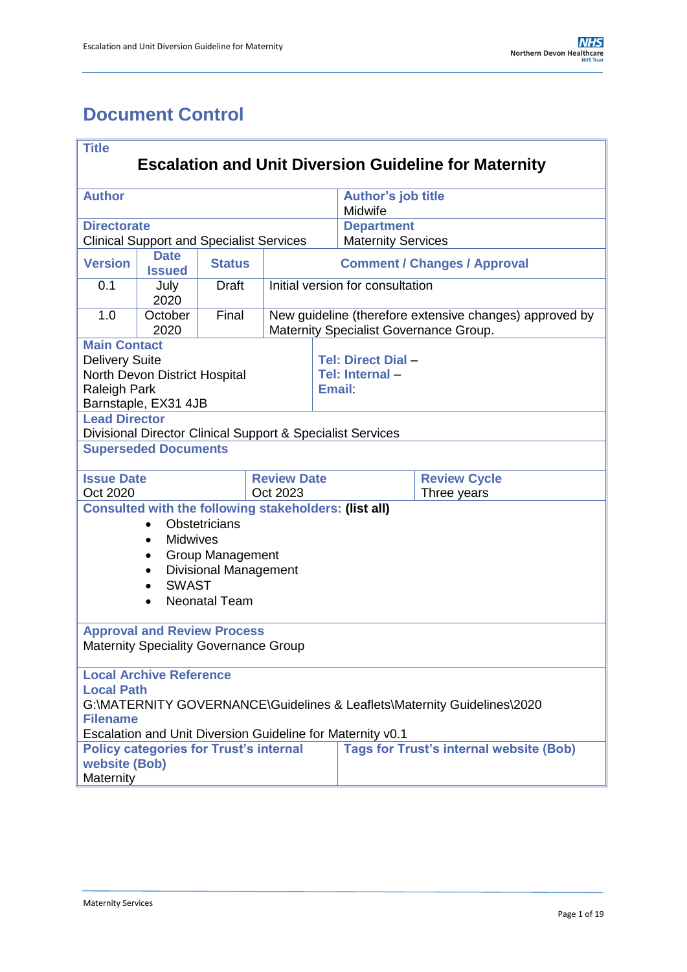# <span id="page-0-0"></span>**Document Control**

| <b>Title</b>                                                 |                                                                |                              |             |                                  |                                                            |                                                                                                   |  |
|--------------------------------------------------------------|----------------------------------------------------------------|------------------------------|-------------|----------------------------------|------------------------------------------------------------|---------------------------------------------------------------------------------------------------|--|
| <b>Escalation and Unit Diversion Guideline for Maternity</b> |                                                                |                              |             |                                  |                                                            |                                                                                                   |  |
| <b>Author</b>                                                |                                                                |                              |             |                                  | <b>Author's job title</b><br>Midwife                       |                                                                                                   |  |
| <b>Directorate</b>                                           | <b>Clinical Support and Specialist Services</b>                |                              |             |                                  | <b>Department</b><br><b>Maternity Services</b>             |                                                                                                   |  |
| <b>Version</b>                                               | <b>Date</b><br><b>Issued</b>                                   | <b>Status</b>                |             |                                  |                                                            | <b>Comment / Changes / Approval</b>                                                               |  |
| 0.1                                                          | July<br>2020                                                   | <b>Draft</b>                 |             | Initial version for consultation |                                                            |                                                                                                   |  |
| 1.0                                                          | October<br>2020                                                | Final                        |             |                                  |                                                            | New guideline (therefore extensive changes) approved by<br>Maternity Specialist Governance Group. |  |
| <b>Main Contact</b>                                          |                                                                |                              |             |                                  |                                                            |                                                                                                   |  |
| <b>Delivery Suite</b>                                        |                                                                |                              |             |                                  | Tel: Direct Dial -                                         |                                                                                                   |  |
|                                                              | North Devon District Hospital                                  |                              |             |                                  | Tel: Internal-                                             |                                                                                                   |  |
| <b>Raleigh Park</b>                                          |                                                                |                              |             |                                  | Email:                                                     |                                                                                                   |  |
|                                                              | Barnstaple, EX31 4JB                                           |                              |             |                                  |                                                            |                                                                                                   |  |
| <b>Lead Director</b>                                         |                                                                |                              |             |                                  |                                                            |                                                                                                   |  |
|                                                              |                                                                |                              |             |                                  | Divisional Director Clinical Support & Specialist Services |                                                                                                   |  |
|                                                              | <b>Superseded Documents</b>                                    |                              |             |                                  |                                                            |                                                                                                   |  |
|                                                              | <b>Issue Date</b><br><b>Review Date</b><br><b>Review Cycle</b> |                              |             |                                  |                                                            |                                                                                                   |  |
| Oct 2023<br>Oct 2020                                         |                                                                |                              | Three years |                                  |                                                            |                                                                                                   |  |
|                                                              | <b>Consulted with the following stakeholders: (list all)</b>   |                              |             |                                  |                                                            |                                                                                                   |  |
|                                                              |                                                                | Obstetricians                |             |                                  |                                                            |                                                                                                   |  |
|                                                              | <b>Midwives</b><br>$\bullet$                                   |                              |             |                                  |                                                            |                                                                                                   |  |
|                                                              | $\bullet$                                                      | <b>Group Management</b>      |             |                                  |                                                            |                                                                                                   |  |
|                                                              | $\bullet$<br><b>SWAST</b>                                      | <b>Divisional Management</b> |             |                                  |                                                            |                                                                                                   |  |
|                                                              |                                                                | <b>Neonatal Team</b>         |             |                                  |                                                            |                                                                                                   |  |
|                                                              |                                                                |                              |             |                                  |                                                            |                                                                                                   |  |
|                                                              | <b>Approval and Review Process</b>                             |                              |             |                                  |                                                            |                                                                                                   |  |
| <b>Maternity Speciality Governance Group</b>                 |                                                                |                              |             |                                  |                                                            |                                                                                                   |  |
|                                                              | <b>Local Archive Reference</b>                                 |                              |             |                                  |                                                            |                                                                                                   |  |
| <b>Local Path</b>                                            |                                                                |                              |             |                                  |                                                            |                                                                                                   |  |
|                                                              |                                                                |                              |             |                                  |                                                            | G:\MATERNITY GOVERNANCE\Guidelines & Leaflets\Maternity Guidelines\2020                           |  |
| <b>Filename</b>                                              |                                                                |                              |             |                                  |                                                            |                                                                                                   |  |
|                                                              | <b>Policy categories for Trust's internal</b>                  |                              |             |                                  | Escalation and Unit Diversion Guideline for Maternity v0.1 | <b>Tags for Trust's internal website (Bob)</b>                                                    |  |
| website (Bob)                                                |                                                                |                              |             |                                  |                                                            |                                                                                                   |  |
|                                                              | Maternity                                                      |                              |             |                                  |                                                            |                                                                                                   |  |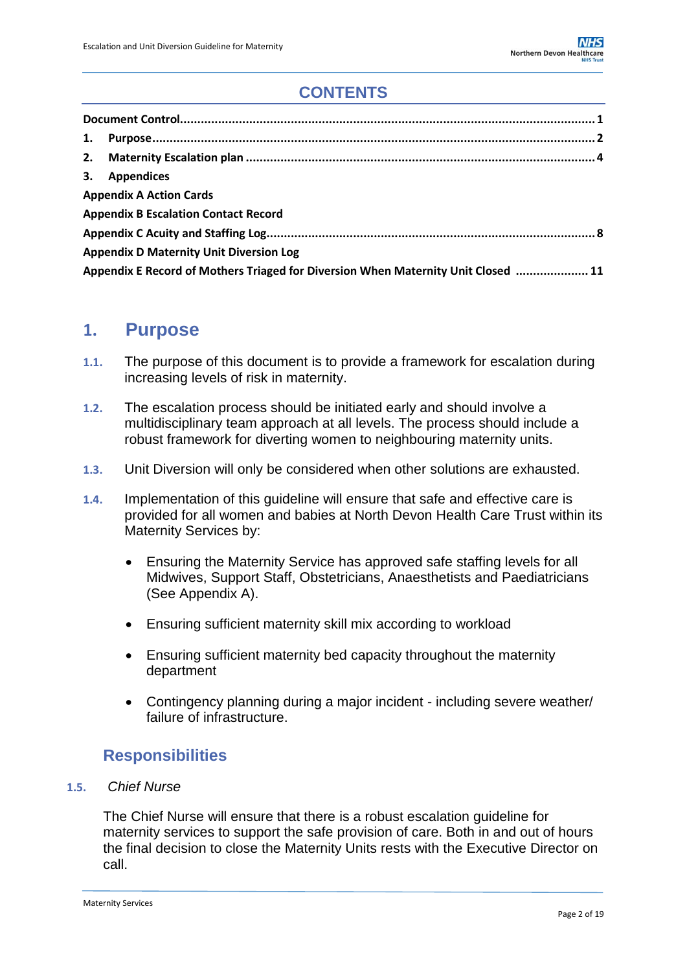# **CONTENTS**

| 1.                                                                                |                                             |  |  |  |
|-----------------------------------------------------------------------------------|---------------------------------------------|--|--|--|
|                                                                                   |                                             |  |  |  |
|                                                                                   | 3. Appendices                               |  |  |  |
|                                                                                   | <b>Appendix A Action Cards</b>              |  |  |  |
|                                                                                   | <b>Appendix B Escalation Contact Record</b> |  |  |  |
|                                                                                   |                                             |  |  |  |
| <b>Appendix D Maternity Unit Diversion Log</b>                                    |                                             |  |  |  |
| Appendix E Record of Mothers Triaged for Diversion When Maternity Unit Closed  11 |                                             |  |  |  |

# <span id="page-1-0"></span>**1. Purpose**

- **1.1.** The purpose of this document is to provide a framework for escalation during increasing levels of risk in maternity.
- **1.2.** The escalation process should be initiated early and should involve a multidisciplinary team approach at all levels. The process should include a robust framework for diverting women to neighbouring maternity units.
- **1.3.** Unit Diversion will only be considered when other solutions are exhausted.
- **1.4.** Implementation of this guideline will ensure that safe and effective care is provided for all women and babies at North Devon Health Care Trust within its Maternity Services by:
	- Ensuring the Maternity Service has approved safe staffing levels for all Midwives, Support Staff, Obstetricians, Anaesthetists and Paediatricians (See Appendix A).
	- Ensuring sufficient maternity skill mix according to workload
	- Ensuring sufficient maternity bed capacity throughout the maternity department
	- Contingency planning during a major incident including severe weather/ failure of infrastructure.

## **Responsibilities**

### **1.5.** *Chief Nurse*

The Chief Nurse will ensure that there is a robust escalation guideline for maternity services to support the safe provision of care. Both in and out of hours the final decision to close the Maternity Units rests with the Executive Director on call.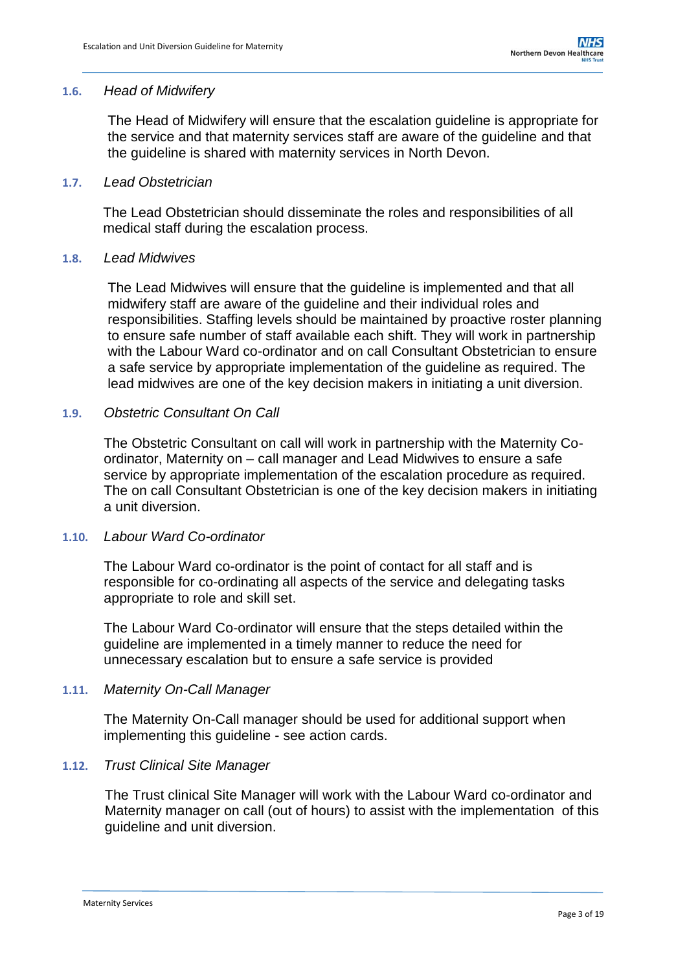### **1.6.** *Head of Midwifery*

The Head of Midwifery will ensure that the escalation guideline is appropriate for the service and that maternity services staff are aware of the guideline and that the guideline is shared with maternity services in North Devon.

### **1.7.** *Lead Obstetrician*

The Lead Obstetrician should disseminate the roles and responsibilities of all medical staff during the escalation process.

### **1.8.** *Lead Midwives*

The Lead Midwives will ensure that the guideline is implemented and that all midwifery staff are aware of the guideline and their individual roles and responsibilities. Staffing levels should be maintained by proactive roster planning to ensure safe number of staff available each shift. They will work in partnership with the Labour Ward co-ordinator and on call Consultant Obstetrician to ensure a safe service by appropriate implementation of the guideline as required. The lead midwives are one of the key decision makers in initiating a unit diversion.

## **1.9.** *Obstetric Consultant On Call*

The Obstetric Consultant on call will work in partnership with the Maternity Coordinator, Maternity on – call manager and Lead Midwives to ensure a safe service by appropriate implementation of the escalation procedure as required. The on call Consultant Obstetrician is one of the key decision makers in initiating a unit diversion.

### **1.10.** *Labour Ward Co-ordinator*

The Labour Ward co-ordinator is the point of contact for all staff and is responsible for co-ordinating all aspects of the service and delegating tasks appropriate to role and skill set.

The Labour Ward Co-ordinator will ensure that the steps detailed within the guideline are implemented in a timely manner to reduce the need for unnecessary escalation but to ensure a safe service is provided

### **1.11.** *Maternity On-Call Manager*

The Maternity On-Call manager should be used for additional support when implementing this guideline - see action cards.

### **1.12.** *Trust Clinical Site Manager*

The Trust clinical Site Manager will work with the Labour Ward co-ordinator and Maternity manager on call (out of hours) to assist with the implementation of this guideline and unit diversion.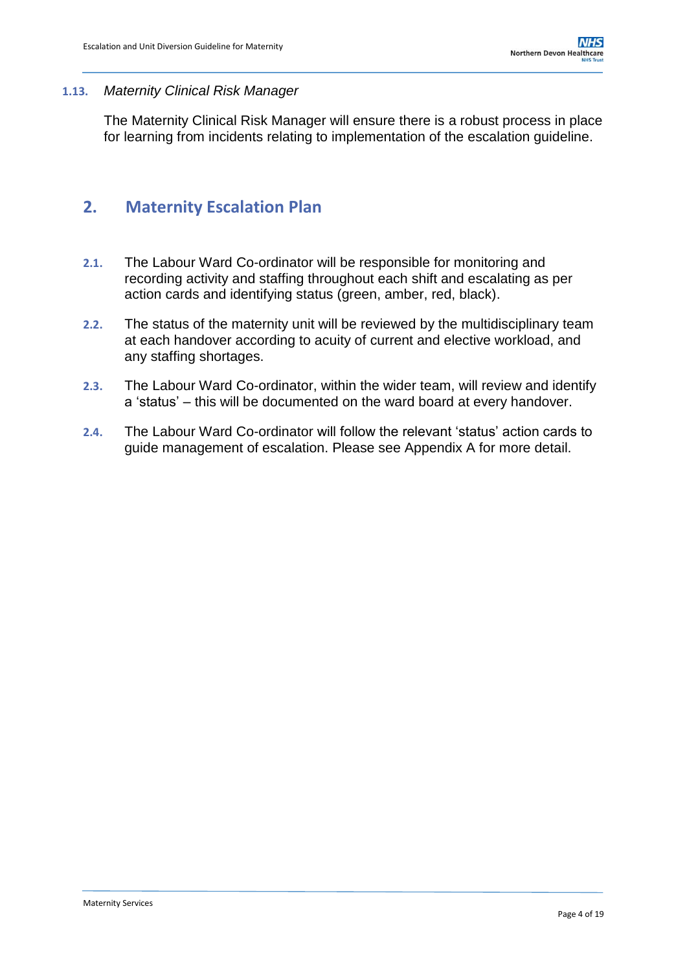### **1.13.** *Maternity Clinical Risk Manager*

The Maternity Clinical Risk Manager will ensure there is a robust process in place for learning from incidents relating to implementation of the escalation guideline.

# <span id="page-3-0"></span>**2. Maternity Escalation Plan**

- **2.1.** The Labour Ward Co-ordinator will be responsible for monitoring and recording activity and staffing throughout each shift and escalating as per action cards and identifying status (green, amber, red, black).
- **2.2.** The status of the maternity unit will be reviewed by the multidisciplinary team at each handover according to acuity of current and elective workload, and any staffing shortages.
- **2.3.** The Labour Ward Co-ordinator, within the wider team, will review and identify a 'status' – this will be documented on the ward board at every handover.
- **2.4.** The Labour Ward Co-ordinator will follow the relevant 'status' action cards to guide management of escalation. Please see Appendix A for more detail.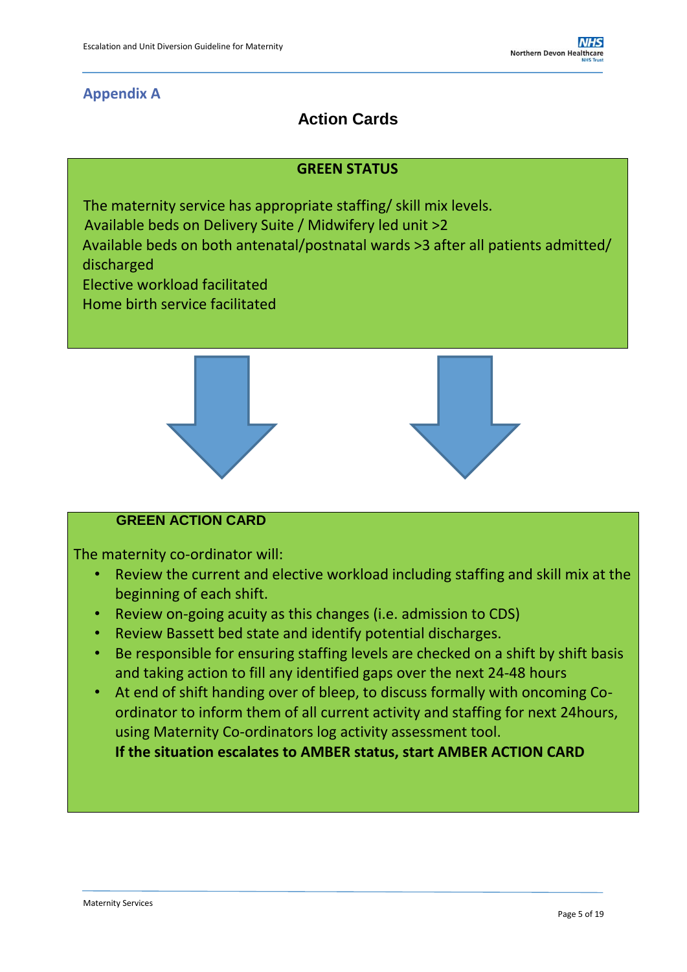# **Appendix A**

# **Action Cards**

## **GREEN STATUS**

The maternity service has appropriate staffing/ skill mix levels.

Available beds on Delivery Suite / Midwifery led unit >2

Available beds on both antenatal/postnatal wards >3 after all patients admitted/ discharged

- Elective workload facilitated
- Home birth service facilitated



## **GREEN ACTION CARD**

The maternity co-ordinator will:

- Review the current and elective workload including staffing and skill mix at the beginning of each shift.
- Review on-going acuity as this changes (i.e. admission to CDS)
- Review Bassett bed state and identify potential discharges.
- Be responsible for ensuring staffing levels are checked on a shift by shift basis and taking action to fill any identified gaps over the next 24-48 hours
- At end of shift handing over of bleep, to discuss formally with oncoming Coordinator to inform them of all current activity and staffing for next 24hours, using Maternity Co-ordinators log activity assessment tool.

**If the situation escalates to AMBER status, start AMBER ACTION CARD**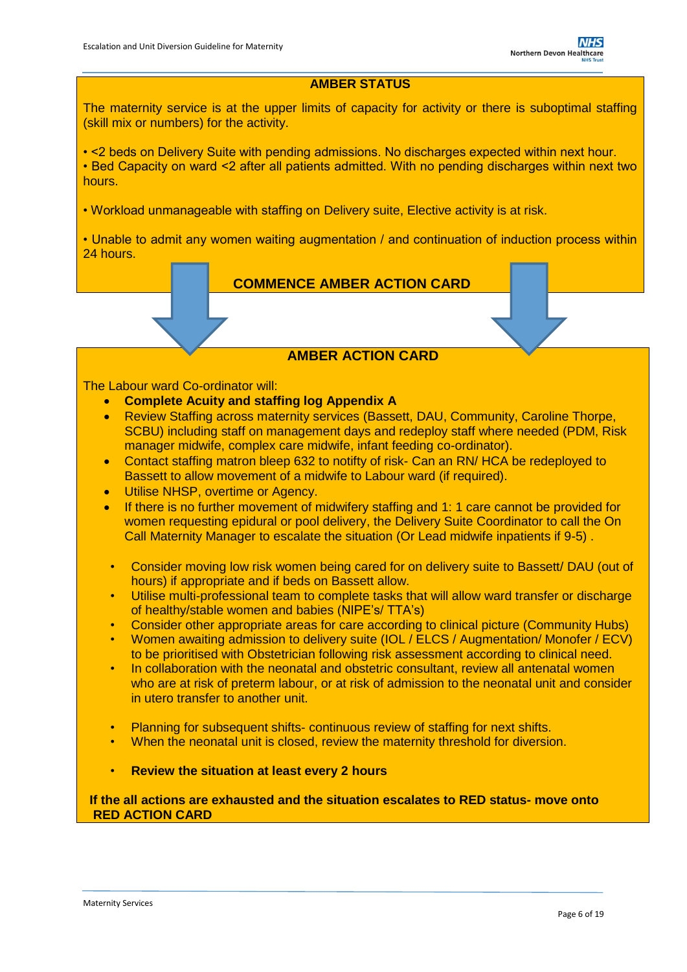## **AMBER STATUS**

The maternity service is at the upper limits of capacity for activity or there is suboptimal staffing (skill mix or numbers) for the activity.

• <2 beds on Delivery Suite with pending admissions. No discharges expected within next hour. • Bed Capacity on ward <2 after all patients admitted. With no pending discharges within next two hours.

• Workload unmanageable with staffing on Delivery suite, Elective activity is at risk.

• Unable to admit any women waiting augmentation / and continuation of induction process within 24 hours.

 **COMMENCE AMBER ACTION CARD**

## **AMBER ACTION CARD**

#### The Labour ward Co-ordinator will:

- **Complete Acuity and staffing log Appendix A**
- Review Staffing across maternity services (Bassett, DAU, Community, Caroline Thorpe, SCBU) including staff on management days and redeploy staff where needed (PDM, Risk manager midwife, complex care midwife, infant feeding co-ordinator).
- Contact staffing matron bleep 632 to notifty of risk- Can an RN/ HCA be redeployed to Bassett to allow movement of a midwife to Labour ward (if required).
- Utilise NHSP, overtime or Agency.
- If there is no further movement of midwifery staffing and 1: 1 care cannot be provided for women requesting epidural or pool delivery, the Delivery Suite Coordinator to call the On Call Maternity Manager to escalate the situation (Or Lead midwife inpatients if 9-5) .
- Consider moving low risk women being cared for on delivery suite to Bassett/ DAU (out of hours) if appropriate and if beds on Bassett allow.
- Utilise multi-professional team to complete tasks that will allow ward transfer or discharge of healthy/stable women and babies (NIPE's/ TTA's)
- Consider other appropriate areas for care according to clinical picture (Community Hubs)
- Women awaiting admission to delivery suite (IOL / ELCS / Augmentation/ Monofer / ECV) to be prioritised with Obstetrician following risk assessment according to clinical need.
- In collaboration with the neonatal and obstetric consultant, review all antenatal women who are at risk of preterm labour, or at risk of admission to the neonatal unit and consider in utero transfer to another unit.
- Planning for subsequent shifts- continuous review of staffing for next shifts.
- When the neonatal unit is closed, review the maternity threshold for diversion.
- **Review the situation at least every 2 hours**

**If the all actions are exhausted and the situation escalates to RED status- move onto RED ACTION CARD**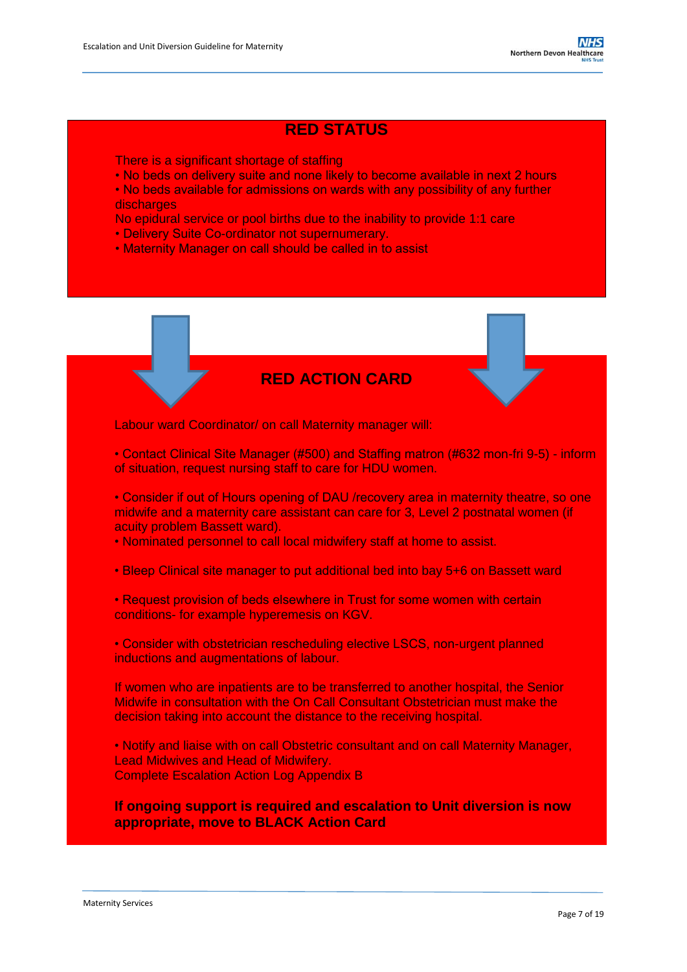## **RED STATUS**

There is a significant shortage of staffing

- No beds on delivery suite and none likely to become available in next 2 hours
- No beds available for admissions on wards with any possibility of any further discharges
- No epidural service or pool births due to the inability to provide 1:1 care
- Delivery Suite Co-ordinator not supernumerary.
- Maternity Manager on call should be called in to assist

## **RED ACTION CARD**

Labour ward Coordinator/ on call Maternity manager will:

• Contact Clinical Site Manager (#500) and Staffing matron (#632 mon-fri 9-5) - inform of situation, request nursing staff to care for HDU women.

• Consider if out of Hours opening of DAU /recovery area in maternity theatre, so one midwife and a maternity care assistant can care for 3, Level 2 postnatal women (if acuity problem Bassett ward).

• Nominated personnel to call local midwifery staff at home to assist.

• Bleep Clinical site manager to put additional bed into bay 5+6 on Bassett ward

• Request provision of beds elsewhere in Trust for some women with certain conditions- for example hyperemesis on KGV.

• Consider with obstetrician rescheduling elective LSCS, non-urgent planned inductions and augmentations of labour.

If women who are inpatients are to be transferred to another hospital, the Senior Midwife in consultation with the On Call Consultant Obstetrician must make the decision taking into account the distance to the receiving hospital.

• Notify and liaise with on call Obstetric consultant and on call Maternity Manager, Lead Midwives and Head of Midwifery. Complete Escalation Action Log Appendix B

**If ongoing support is required and escalation to Unit diversion is now appropriate, move to BLACK Action Card**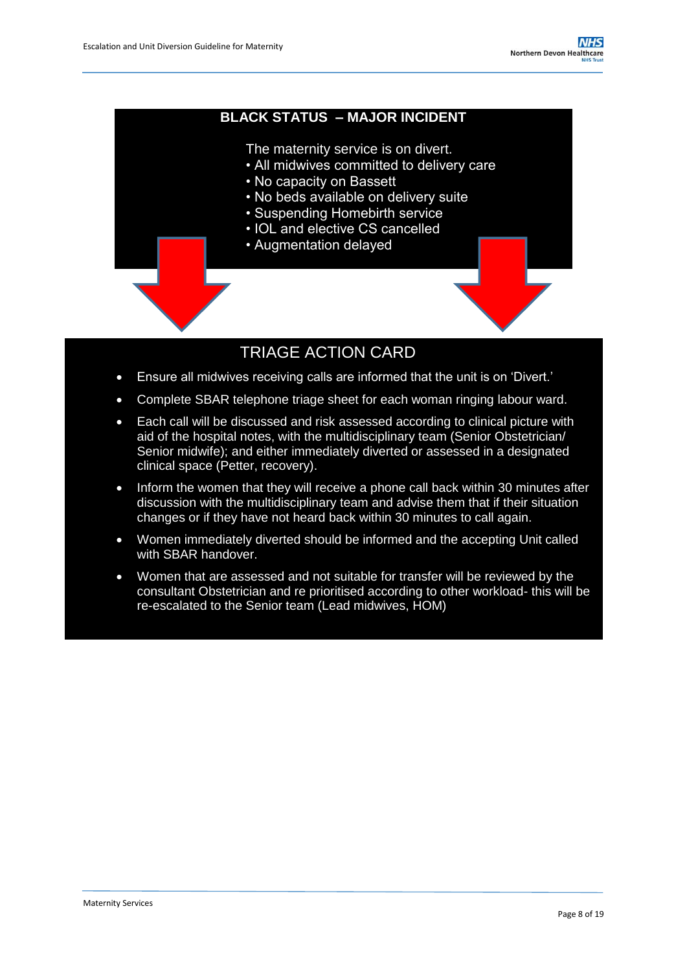### **BLACK STATUS – MAJOR INCIDENT**

The maternity service is on divert.

- All midwives committed to delivery care
- No capacity on Bassett
- No beds available on delivery suite
- Suspending Homebirth service
- IOL and elective CS cancelled
- Augmentation delayed

## TRIAGE ACTION CARD

- <span id="page-7-0"></span>Ensure all midwives receiving calls are informed that the unit is on 'Divert.'
- Complete SBAR telephone triage sheet for each woman ringing labour ward.
- Each call will be discussed and risk assessed according to clinical picture with aid of the hospital notes, with the multidisciplinary team (Senior Obstetrician/ Senior midwife); and either immediately diverted or assessed in a designated clinical space (Petter, recovery).
- Inform the women that they will receive a phone call back within 30 minutes after discussion with the multidisciplinary team and advise them that if their situation changes or if they have not heard back within 30 minutes to call again.
- Women immediately diverted should be informed and the accepting Unit called with SBAR handover.
- Women that are assessed and not suitable for transfer will be reviewed by the consultant Obstetrician and re prioritised according to other workload- this will be re-escalated to the Senior team (Lead midwives, HOM)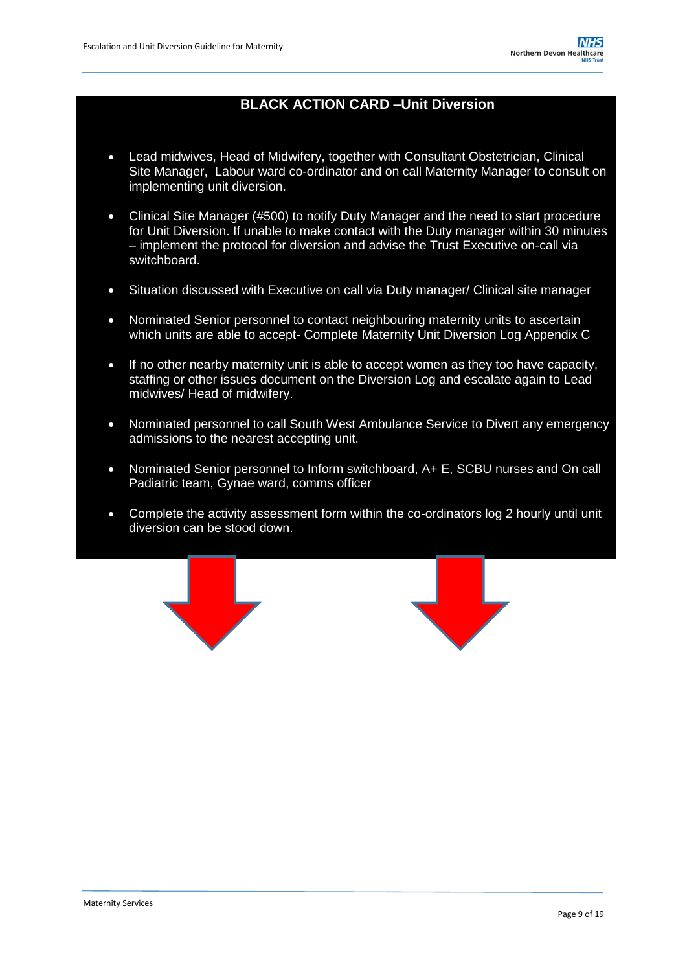## **BLACK ACTION CARD –Unit Diversion**

- Lead midwives, Head of Midwifery, together with Consultant Obstetrician, Clinical Site Manager, Labour ward co-ordinator and on call Maternity Manager to consult on implementing unit diversion.
- Clinical Site Manager (#500) to notify Duty Manager and the need to start procedure for Unit Diversion. If unable to make contact with the Duty manager within 30 minutes – implement the protocol for diversion and advise the Trust Executive on-call via switchboard.
- Situation discussed with Executive on call via Duty manager/ Clinical site manager
- Nominated Senior personnel to contact neighbouring maternity units to ascertain which units are able to accept- Complete Maternity Unit Diversion Log Appendix C
- If no other nearby maternity unit is able to accept women as they too have capacity, staffing or other issues document on the Diversion Log and escalate again to Lead midwives/ Head of midwifery.
- Nominated personnel to call South West Ambulance Service to Divert any emergency admissions to the nearest accepting unit.
- Nominated Senior personnel to Inform switchboard, A+ E, SCBU nurses and On call Padiatric team, Gynae ward, comms officer
- Complete the activity assessment form within the co-ordinators log 2 hourly until unit diversion can be stood down.

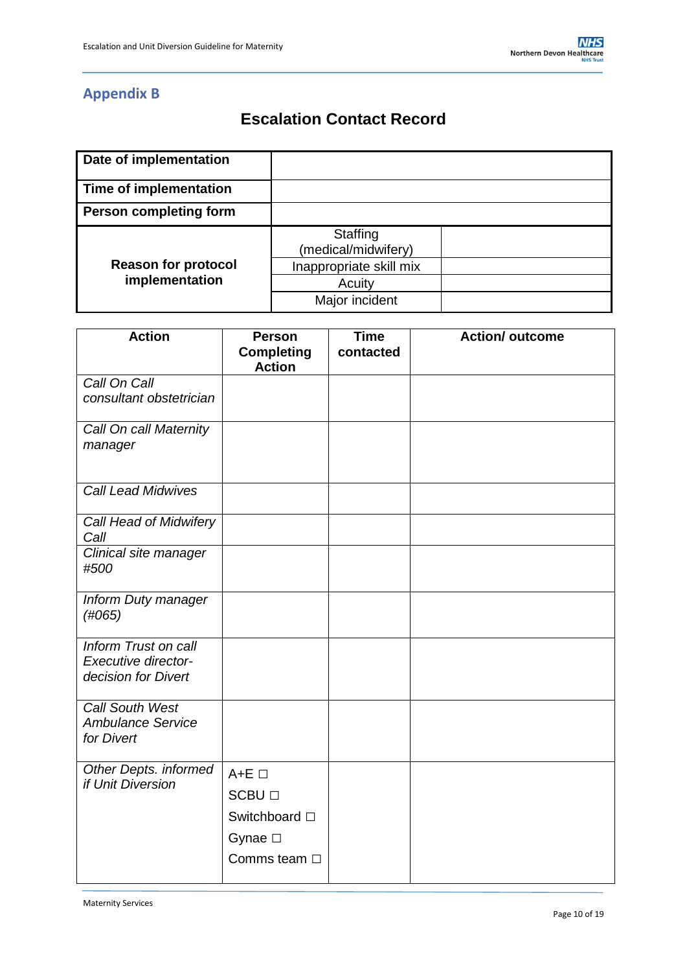# **Appendix B**

# **Escalation Contact Record**

| Date of implementation        |                                 |  |
|-------------------------------|---------------------------------|--|
| Time of implementation        |                                 |  |
| <b>Person completing form</b> |                                 |  |
|                               | Staffing<br>(medical/midwifery) |  |
| <b>Reason for protocol</b>    | Inappropriate skill mix         |  |
| implementation                | Acuity                          |  |
|                               | Major incident                  |  |

| <b>Action</b>                              | <b>Person</b><br><b>Completing</b> | <b>Time</b><br>contacted | <b>Action/ outcome</b> |
|--------------------------------------------|------------------------------------|--------------------------|------------------------|
|                                            | <b>Action</b>                      |                          |                        |
| Call On Call<br>consultant obstetrician    |                                    |                          |                        |
|                                            |                                    |                          |                        |
| Call On call Maternity                     |                                    |                          |                        |
| manager                                    |                                    |                          |                        |
|                                            |                                    |                          |                        |
| <b>Call Lead Midwives</b>                  |                                    |                          |                        |
|                                            |                                    |                          |                        |
| Call Head of Midwifery<br>Call             |                                    |                          |                        |
| Clinical site manager                      |                                    |                          |                        |
| #500                                       |                                    |                          |                        |
|                                            |                                    |                          |                        |
| Inform Duty manager                        |                                    |                          |                        |
| (H065)                                     |                                    |                          |                        |
|                                            |                                    |                          |                        |
| <b>Inform Trust on call</b>                |                                    |                          |                        |
| Executive director-                        |                                    |                          |                        |
| decision for Divert                        |                                    |                          |                        |
| <b>Call South West</b>                     |                                    |                          |                        |
| <b>Ambulance Service</b>                   |                                    |                          |                        |
| for Divert                                 |                                    |                          |                        |
|                                            |                                    |                          |                        |
| Other Depts. informed<br>if Unit Diversion | $A+E$ $\square$                    |                          |                        |
|                                            | <b>SCBU</b> □                      |                          |                        |
|                                            | Switchboard $\square$              |                          |                        |
|                                            | Gynae $\square$                    |                          |                        |
|                                            | Comms team $\Box$                  |                          |                        |
|                                            |                                    |                          |                        |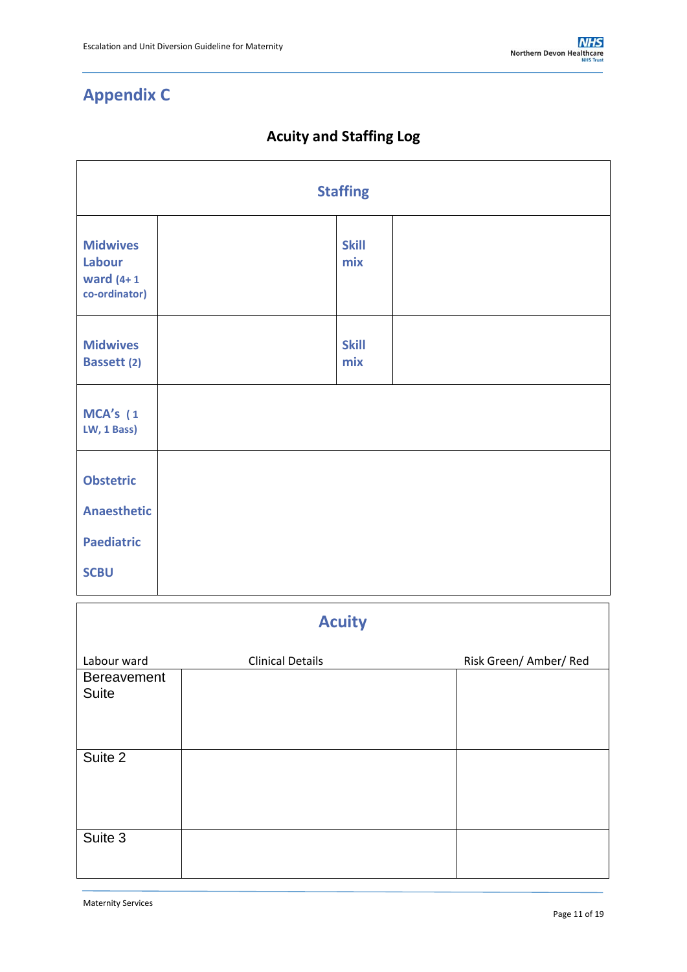# **Appendix C**

# **Acuity and Staffing Log**

<span id="page-10-0"></span>

| <b>Staffing</b>                                            |  |                     |  |  |
|------------------------------------------------------------|--|---------------------|--|--|
| <b>Midwives</b><br>Labour<br>ward $(4+1)$<br>co-ordinator) |  | <b>Skill</b><br>mix |  |  |
| <b>Midwives</b><br><b>Bassett (2)</b>                      |  | <b>Skill</b><br>mix |  |  |
| MCA's (1<br>LW, 1 Bass)                                    |  |                     |  |  |
| <b>Obstetric</b><br><b>Anaesthetic</b>                     |  |                     |  |  |
| <b>Paediatric</b><br><b>SCBU</b>                           |  |                     |  |  |

| <b>Acuity</b>                      |                         |                        |  |  |  |
|------------------------------------|-------------------------|------------------------|--|--|--|
| Labour ward                        | <b>Clinical Details</b> | Risk Green/ Amber/ Red |  |  |  |
| <b>Bereavement</b><br><b>Suite</b> |                         |                        |  |  |  |
| Suite 2                            |                         |                        |  |  |  |
| Suite 3                            |                         |                        |  |  |  |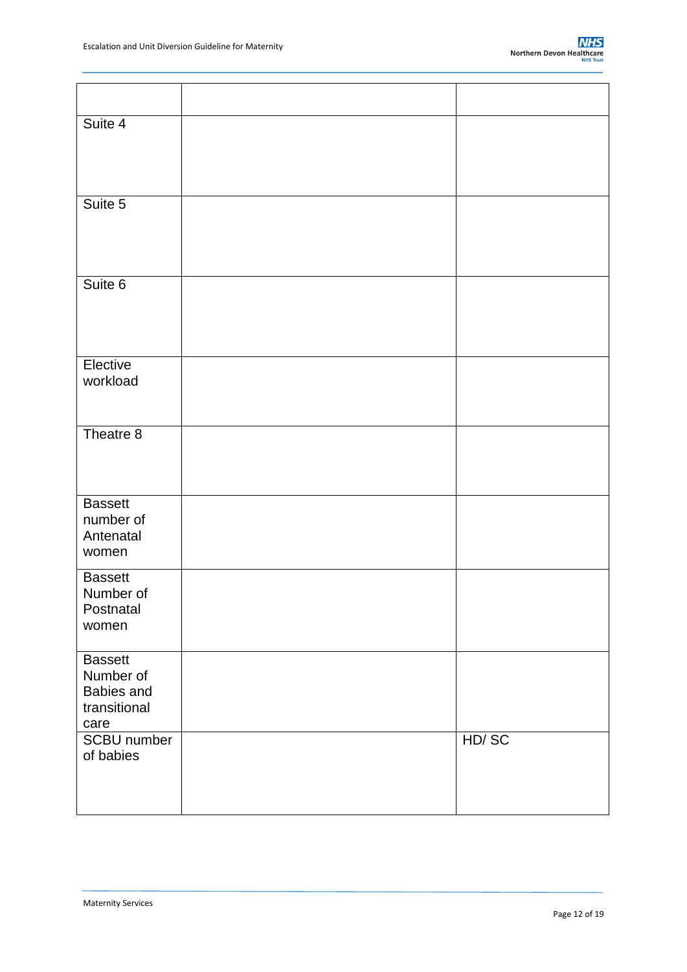| Suite 4                                                           |       |
|-------------------------------------------------------------------|-------|
| Suite 5                                                           |       |
| Suite 6                                                           |       |
| Elective<br>workload                                              |       |
| Theatre 8                                                         |       |
| <b>Bassett</b><br>number of<br>Antenatal<br>women                 |       |
| <b>Bassett</b><br>Number of<br>Postnatal<br>women                 |       |
| <b>Bassett</b><br>Number of<br>Babies and<br>transitional<br>care |       |
| <b>SCBU</b> number<br>of babies                                   | HD/SC |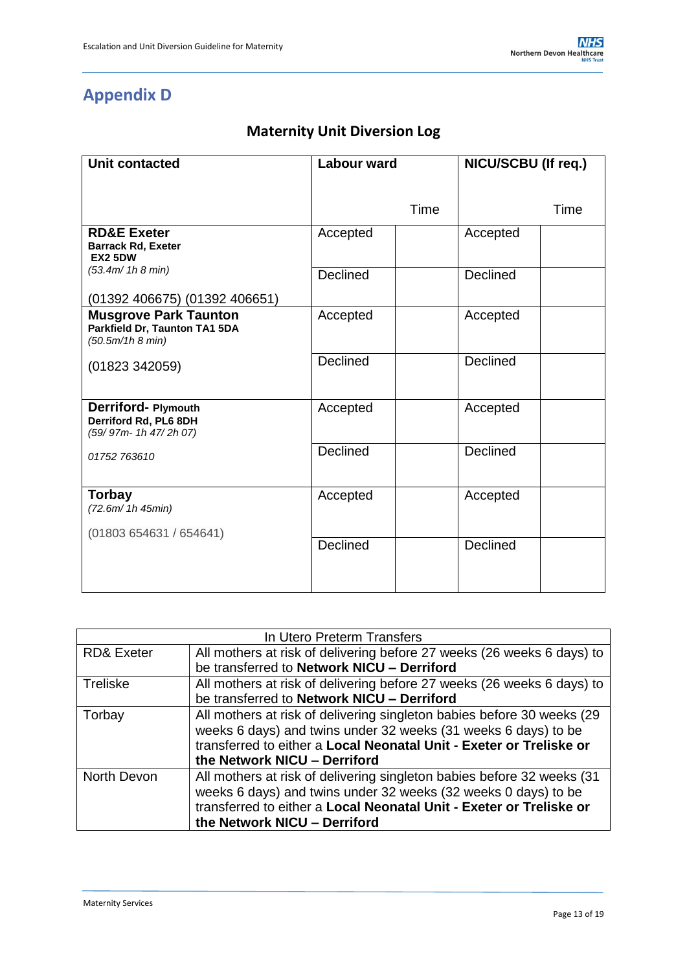# **Appendix D**

# **Maternity Unit Diversion Log**

| <b>Unit contacted</b>                                                                                              | <b>Labour ward</b> |      | NICU/SCBU (If req.) |      |
|--------------------------------------------------------------------------------------------------------------------|--------------------|------|---------------------|------|
|                                                                                                                    |                    | Time |                     | Time |
| <b>RD&amp;E Exeter</b><br><b>Barrack Rd, Exeter</b><br><b>EX2 5DW</b>                                              | Accepted           |      | Accepted            |      |
| (53.4m/ 1h 8 min)                                                                                                  | Declined           |      | Declined            |      |
| (01392 406675) (01392 406651)<br><b>Musgrove Park Taunton</b><br>Parkfield Dr, Taunton TA1 5DA<br>(50.5m/1h 8 min) | Accepted           |      | Accepted            |      |
| (01823 342059)                                                                                                     | <b>Declined</b>    |      | <b>Declined</b>     |      |
| Derriford- Plymouth<br>Derriford Rd, PL6 8DH<br>(59/97m-1h 47/2h 07)                                               | Accepted           |      | Accepted            |      |
| 01752 763610                                                                                                       | Declined           |      | Declined            |      |
| <b>Torbay</b><br>(72.6m/ 1h 45min)<br>(01803 654631 / 654641)                                                      | Accepted           |      | Accepted            |      |
|                                                                                                                    | <b>Declined</b>    |      | Declined            |      |

| In Utero Preterm Transfers                                                                          |                                                                         |  |  |  |  |
|-----------------------------------------------------------------------------------------------------|-------------------------------------------------------------------------|--|--|--|--|
| <b>RD&amp; Exeter</b>                                                                               | All mothers at risk of delivering before 27 weeks (26 weeks 6 days) to  |  |  |  |  |
|                                                                                                     | be transferred to Network NICU - Derriford                              |  |  |  |  |
| <b>Treliske</b>                                                                                     | All mothers at risk of delivering before 27 weeks (26 weeks 6 days) to  |  |  |  |  |
|                                                                                                     | be transferred to Network NICU - Derriford                              |  |  |  |  |
| Torbay                                                                                              | All mothers at risk of delivering singleton babies before 30 weeks (29  |  |  |  |  |
|                                                                                                     | weeks 6 days) and twins under 32 weeks (31 weeks 6 days) to be          |  |  |  |  |
|                                                                                                     | transferred to either a Local Neonatal Unit - Exeter or Treliske or     |  |  |  |  |
|                                                                                                     | the Network NICU - Derriford                                            |  |  |  |  |
| North Devon                                                                                         | All mothers at risk of delivering singleton babies before 32 weeks (31) |  |  |  |  |
|                                                                                                     | weeks 6 days) and twins under 32 weeks (32 weeks 0 days) to be          |  |  |  |  |
| transferred to either a Local Neonatal Unit - Exeter or Treliske or<br>the Network NICU - Derriford |                                                                         |  |  |  |  |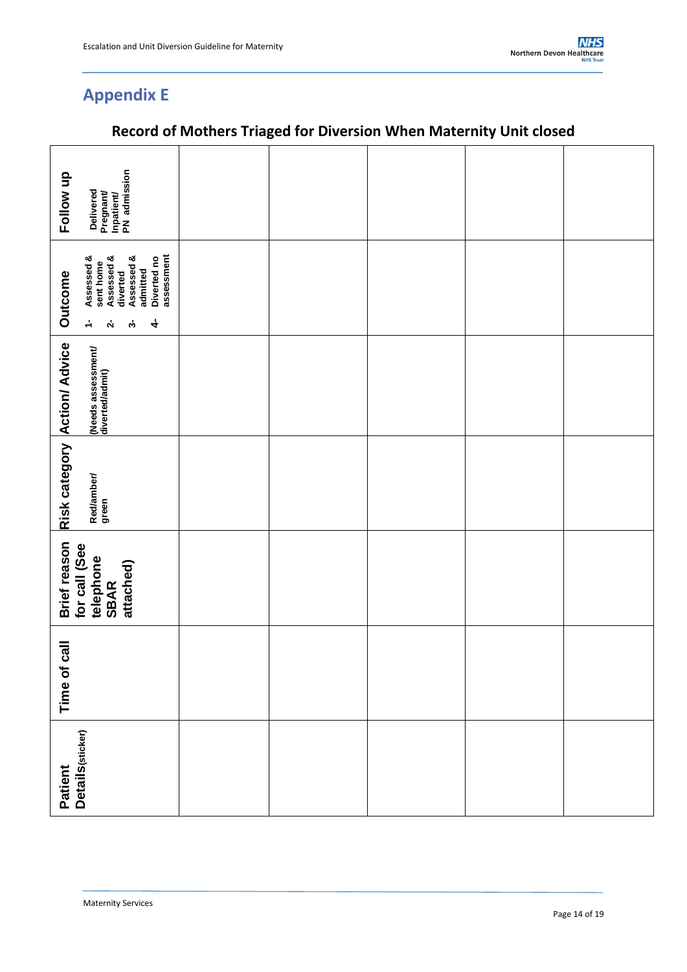# **Appendix E**

| Follow up                            | Delivered<br>Pregnant/<br>Inpatient/<br>PN admission                                                                                     |  |  |  |
|--------------------------------------|------------------------------------------------------------------------------------------------------------------------------------------|--|--|--|
| Outcome                              | assessment<br>Assessed &<br>Assessed &<br>Assessed &<br>Diverted no<br>sent home<br>admitted<br>diverted<br>4<br>÷<br>$\mathbf{v}$<br>က် |  |  |  |
| Risk category Action/ Advice         | (Needs assessment/<br>diverted/admit)                                                                                                    |  |  |  |
|                                      | Red/amber/<br>green                                                                                                                      |  |  |  |
| Brief reason<br>for call (See        | telephone<br>SBAR<br>attached)                                                                                                           |  |  |  |
| $\overline{\overline{a}}$<br>Time of |                                                                                                                                          |  |  |  |
| Patient<br>Details(sticker)          |                                                                                                                                          |  |  |  |

# **Record of Mothers Triaged for Diversion When Maternity Unit closed**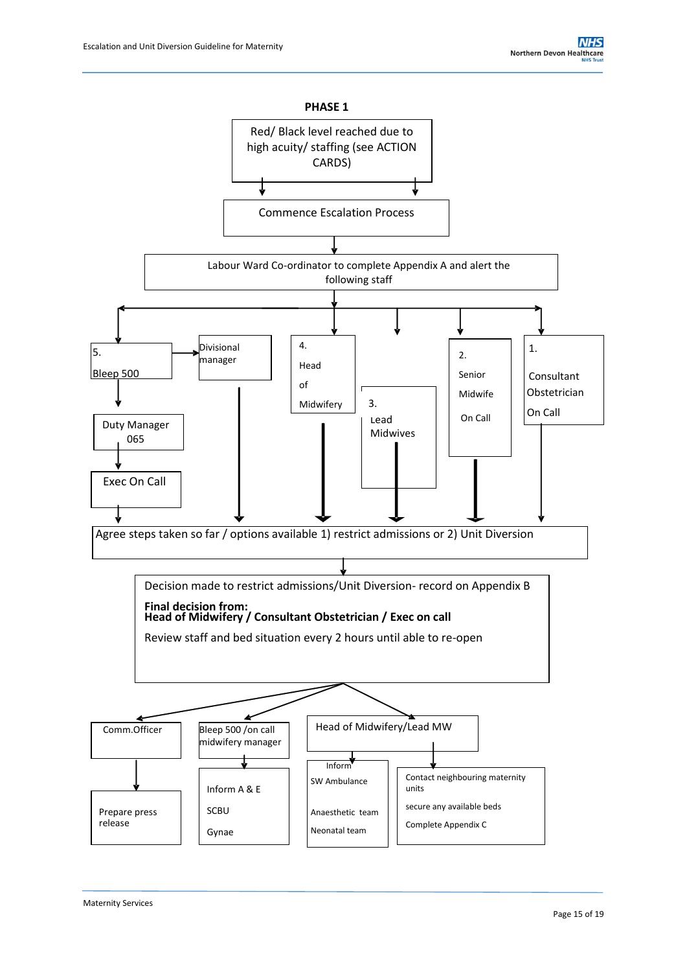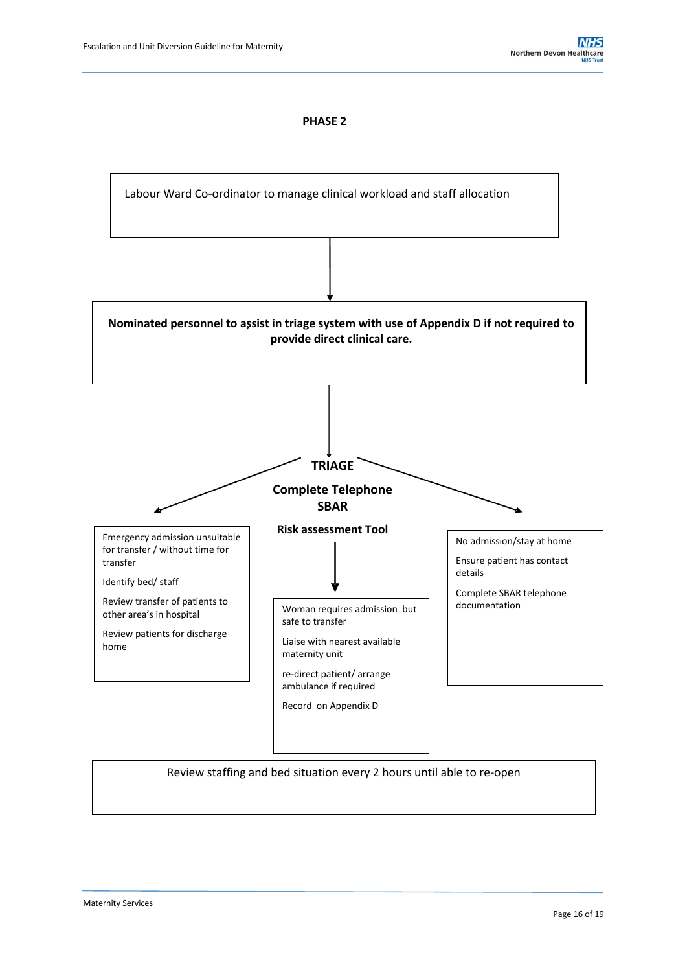#### **PHASE 2**

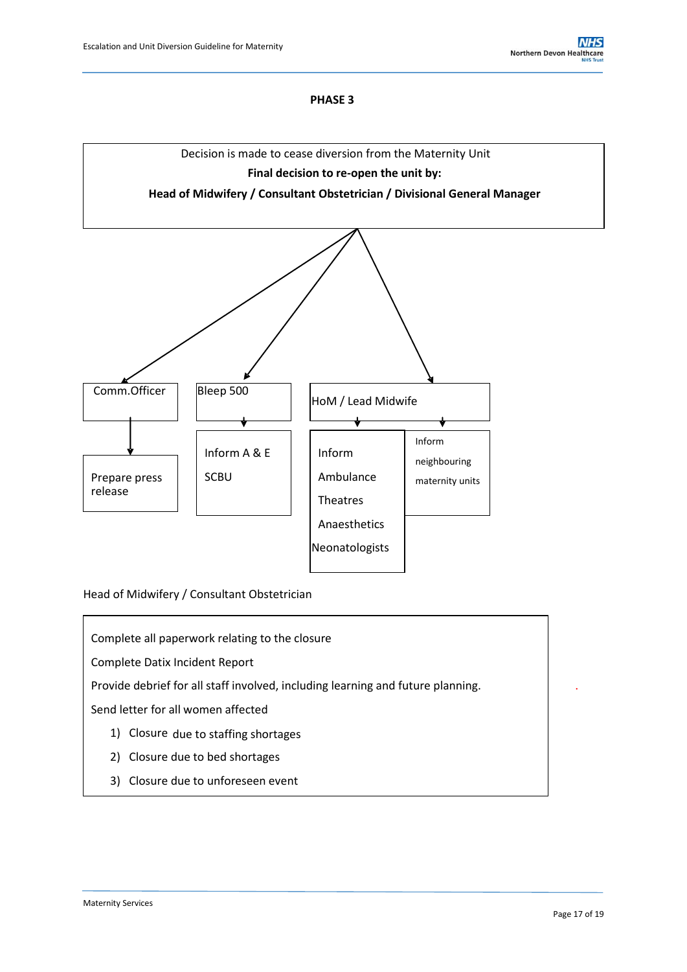#### **PHASE 3**



Head of Midwifery / Consultant Obstetrician

Complete all paperwork relating to the closure

Complete Datix Incident Report

Provide debrief for all staff involved, including learning and future planning. .

Send letter for all women affected

- 1) Closure due to staffing shortages
- 2) Closure due to bed shortages
- 3) Closure due to unforeseen event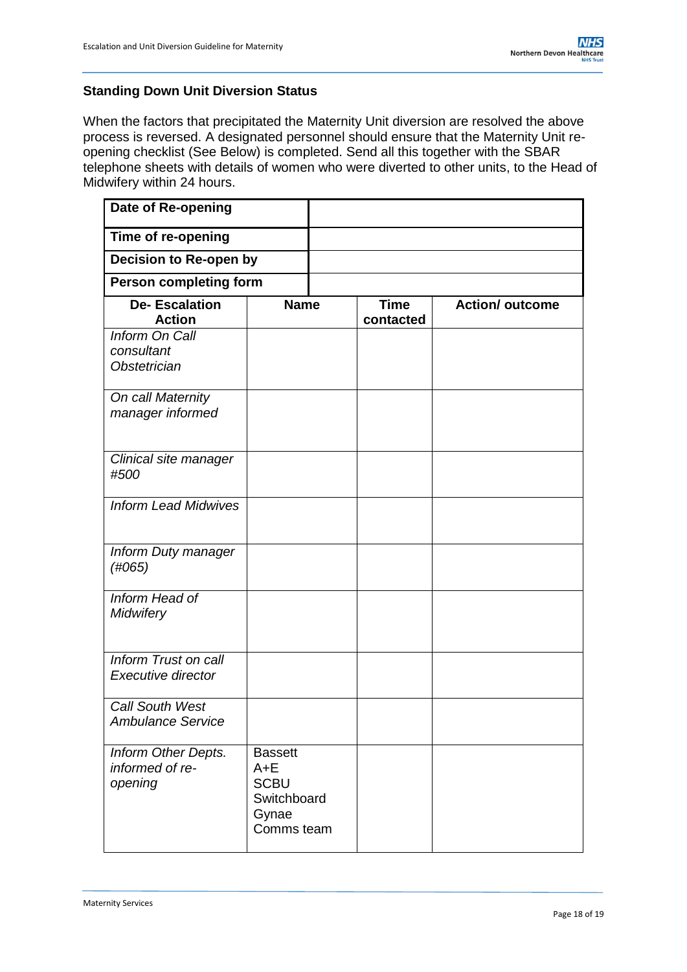## **Standing Down Unit Diversion Status**

When the factors that precipitated the Maternity Unit diversion are resolved the above process is reversed. A designated personnel should ensure that the Maternity Unit reopening checklist (See Below) is completed. Send all this together with the SBAR telephone sheets with details of women who were diverted to other units, to the Head of Midwifery within 24 hours.

| Date of Re-opening                                  |                                                                                |                          |                        |
|-----------------------------------------------------|--------------------------------------------------------------------------------|--------------------------|------------------------|
| Time of re-opening                                  |                                                                                |                          |                        |
| <b>Decision to Re-open by</b>                       |                                                                                |                          |                        |
| <b>Person completing form</b>                       |                                                                                |                          |                        |
| <b>De-Escalation</b><br><b>Action</b>               | <b>Name</b>                                                                    | <b>Time</b><br>contacted | <b>Action/ outcome</b> |
| Inform On Call<br>consultant<br><b>Obstetrician</b> |                                                                                |                          |                        |
| On call Maternity<br>manager informed               |                                                                                |                          |                        |
| Clinical site manager<br>#500                       |                                                                                |                          |                        |
| <b>Inform Lead Midwives</b>                         |                                                                                |                          |                        |
| Inform Duty manager<br>(H065)                       |                                                                                |                          |                        |
| Inform Head of<br><b>Midwifery</b>                  |                                                                                |                          |                        |
| Inform Trust on call<br>Executive director          |                                                                                |                          |                        |
| <b>Call South West</b><br><b>Ambulance Service</b>  |                                                                                |                          |                        |
| Inform Other Depts.<br>informed of re-<br>opening   | <b>Bassett</b><br>$A + E$<br><b>SCBU</b><br>Switchboard<br>Gynae<br>Comms team |                          |                        |